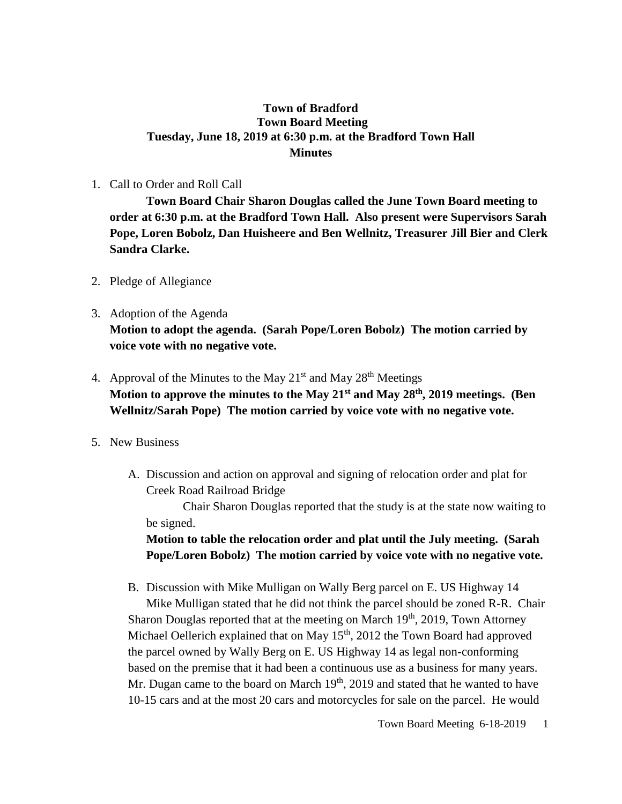# **Town of Bradford Town Board Meeting Tuesday, June 18, 2019 at 6:30 p.m. at the Bradford Town Hall Minutes**

1. Call to Order and Roll Call

**Town Board Chair Sharon Douglas called the June Town Board meeting to order at 6:30 p.m. at the Bradford Town Hall. Also present were Supervisors Sarah Pope, Loren Bobolz, Dan Huisheere and Ben Wellnitz, Treasurer Jill Bier and Clerk Sandra Clarke.**

- 2. Pledge of Allegiance
- 3. Adoption of the Agenda **Motion to adopt the agenda. (Sarah Pope/Loren Bobolz) The motion carried by voice vote with no negative vote.**
- 4. Approval of the Minutes to the May  $21<sup>st</sup>$  and May  $28<sup>th</sup>$  Meetings **Motion to approve the minutes to the May 21st and May 28th, 2019 meetings. (Ben Wellnitz/Sarah Pope) The motion carried by voice vote with no negative vote.**
- 5. New Business
	- A. Discussion and action on approval and signing of relocation order and plat for Creek Road Railroad Bridge

Chair Sharon Douglas reported that the study is at the state now waiting to be signed.

**Motion to table the relocation order and plat until the July meeting. (Sarah Pope/Loren Bobolz) The motion carried by voice vote with no negative vote.**

B. Discussion with Mike Mulligan on Wally Berg parcel on E. US Highway 14

Mike Mulligan stated that he did not think the parcel should be zoned R-R. Chair Sharon Douglas reported that at the meeting on March 19<sup>th</sup>, 2019, Town Attorney Michael Oellerich explained that on May  $15<sup>th</sup>$ , 2012 the Town Board had approved the parcel owned by Wally Berg on E. US Highway 14 as legal non-conforming based on the premise that it had been a continuous use as a business for many years. Mr. Dugan came to the board on March  $19<sup>th</sup>$ , 2019 and stated that he wanted to have 10-15 cars and at the most 20 cars and motorcycles for sale on the parcel. He would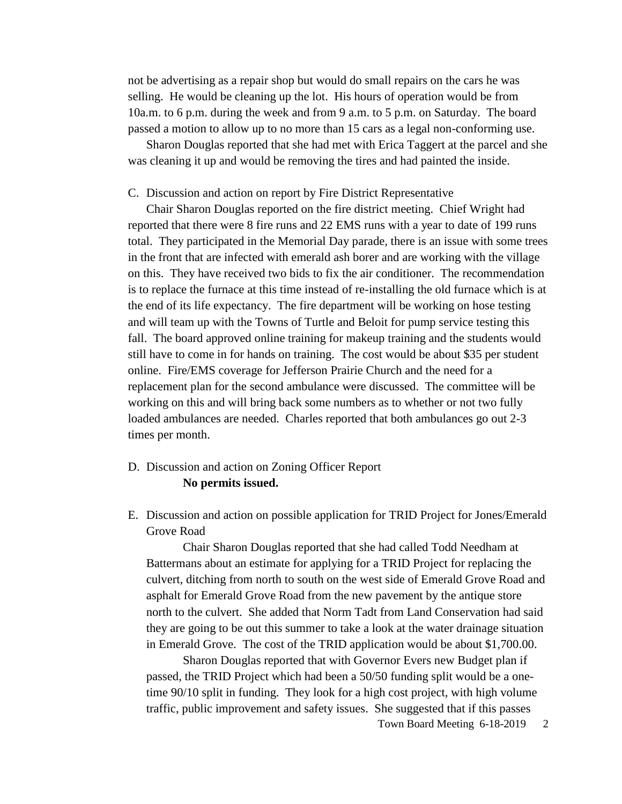not be advertising as a repair shop but would do small repairs on the cars he was selling. He would be cleaning up the lot. His hours of operation would be from 10a.m. to 6 p.m. during the week and from 9 a.m. to 5 p.m. on Saturday. The board passed a motion to allow up to no more than 15 cars as a legal non-conforming use.

Sharon Douglas reported that she had met with Erica Taggert at the parcel and she was cleaning it up and would be removing the tires and had painted the inside.

#### C. Discussion and action on report by Fire District Representative

Chair Sharon Douglas reported on the fire district meeting. Chief Wright had reported that there were 8 fire runs and 22 EMS runs with a year to date of 199 runs total. They participated in the Memorial Day parade, there is an issue with some trees in the front that are infected with emerald ash borer and are working with the village on this. They have received two bids to fix the air conditioner. The recommendation is to replace the furnace at this time instead of re-installing the old furnace which is at the end of its life expectancy. The fire department will be working on hose testing and will team up with the Towns of Turtle and Beloit for pump service testing this fall. The board approved online training for makeup training and the students would still have to come in for hands on training. The cost would be about \$35 per student online. Fire/EMS coverage for Jefferson Prairie Church and the need for a replacement plan for the second ambulance were discussed. The committee will be working on this and will bring back some numbers as to whether or not two fully loaded ambulances are needed. Charles reported that both ambulances go out 2-3 times per month.

## D. Discussion and action on Zoning Officer Report **No permits issued.**

E. Discussion and action on possible application for TRID Project for Jones/Emerald Grove Road

Chair Sharon Douglas reported that she had called Todd Needham at Battermans about an estimate for applying for a TRID Project for replacing the culvert, ditching from north to south on the west side of Emerald Grove Road and asphalt for Emerald Grove Road from the new pavement by the antique store north to the culvert. She added that Norm Tadt from Land Conservation had said they are going to be out this summer to take a look at the water drainage situation in Emerald Grove. The cost of the TRID application would be about \$1,700.00.

Sharon Douglas reported that with Governor Evers new Budget plan if passed, the TRID Project which had been a 50/50 funding split would be a onetime 90/10 split in funding. They look for a high cost project, with high volume traffic, public improvement and safety issues. She suggested that if this passes

Town Board Meeting 6-18-2019 2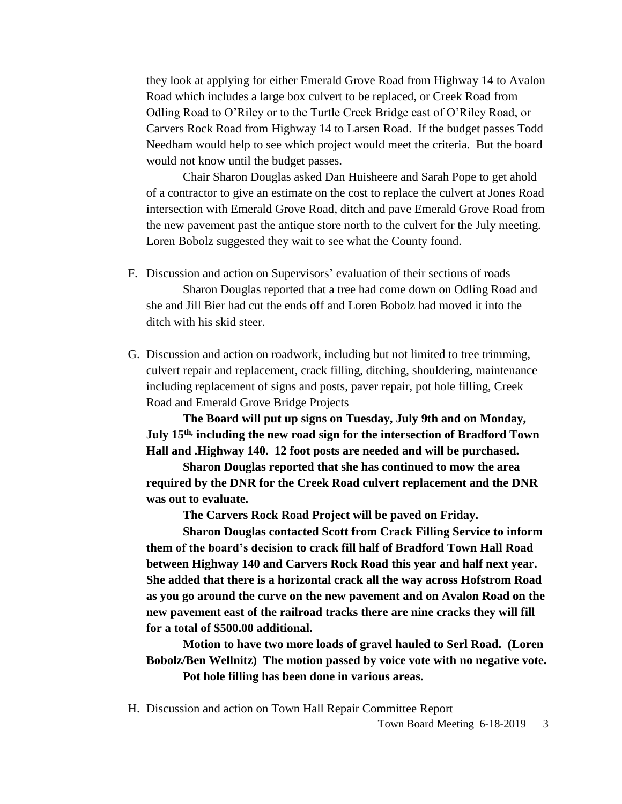they look at applying for either Emerald Grove Road from Highway 14 to Avalon Road which includes a large box culvert to be replaced, or Creek Road from Odling Road to O'Riley or to the Turtle Creek Bridge east of O'Riley Road, or Carvers Rock Road from Highway 14 to Larsen Road. If the budget passes Todd Needham would help to see which project would meet the criteria. But the board would not know until the budget passes.

Chair Sharon Douglas asked Dan Huisheere and Sarah Pope to get ahold of a contractor to give an estimate on the cost to replace the culvert at Jones Road intersection with Emerald Grove Road, ditch and pave Emerald Grove Road from the new pavement past the antique store north to the culvert for the July meeting. Loren Bobolz suggested they wait to see what the County found.

- F. Discussion and action on Supervisors' evaluation of their sections of roads Sharon Douglas reported that a tree had come down on Odling Road and she and Jill Bier had cut the ends off and Loren Bobolz had moved it into the ditch with his skid steer.
- G. Discussion and action on roadwork, including but not limited to tree trimming, culvert repair and replacement, crack filling, ditching, shouldering, maintenance including replacement of signs and posts, paver repair, pot hole filling, Creek Road and Emerald Grove Bridge Projects

**The Board will put up signs on Tuesday, July 9th and on Monday, July 15th, including the new road sign for the intersection of Bradford Town Hall and .Highway 140. 12 foot posts are needed and will be purchased.** 

**Sharon Douglas reported that she has continued to mow the area required by the DNR for the Creek Road culvert replacement and the DNR was out to evaluate.**

**The Carvers Rock Road Project will be paved on Friday.**

**Sharon Douglas contacted Scott from Crack Filling Service to inform them of the board's decision to crack fill half of Bradford Town Hall Road between Highway 140 and Carvers Rock Road this year and half next year. She added that there is a horizontal crack all the way across Hofstrom Road as you go around the curve on the new pavement and on Avalon Road on the new pavement east of the railroad tracks there are nine cracks they will fill for a total of \$500.00 additional.** 

**Motion to have two more loads of gravel hauled to Serl Road. (Loren Bobolz/Ben Wellnitz) The motion passed by voice vote with no negative vote. Pot hole filling has been done in various areas.**

H. Discussion and action on Town Hall Repair Committee Report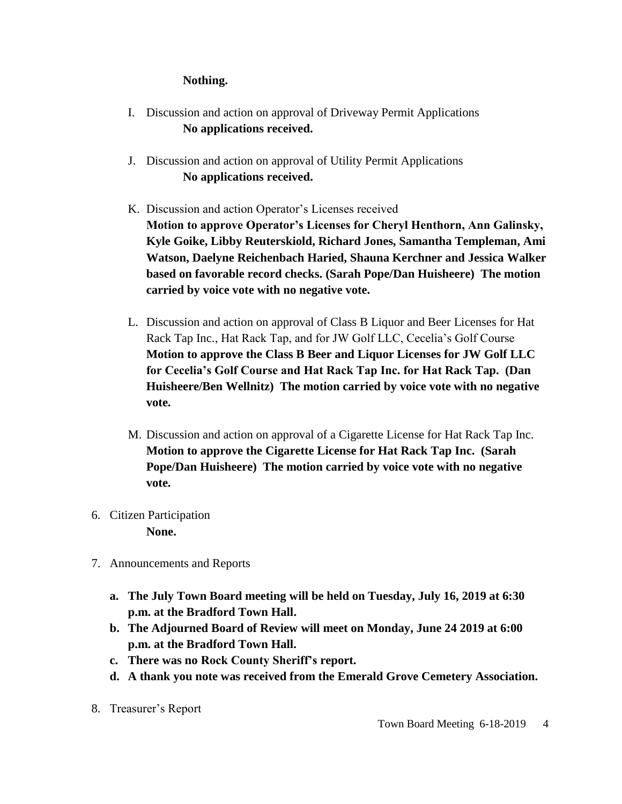# **Nothing.**

- I. Discussion and action on approval of Driveway Permit Applications  **No applications received.**
- J. Discussion and action on approval of Utility Permit Applications **No applications received.**
- K. Discussion and action Operator's Licenses received **Motion to approve Operator's Licenses for Cheryl Henthorn, Ann Galinsky, Kyle Goike, Libby Reuterskiold, Richard Jones, Samantha Templeman, Ami Watson, Daelyne Reichenbach Haried, Shauna Kerchner and Jessica Walker based on favorable record checks. (Sarah Pope/Dan Huisheere) The motion carried by voice vote with no negative vote.**
- L. Discussion and action on approval of Class B Liquor and Beer Licenses for Hat Rack Tap Inc., Hat Rack Tap, and for JW Golf LLC, Cecelia's Golf Course **Motion to approve the Class B Beer and Liquor Licenses for JW Golf LLC for Cecelia's Golf Course and Hat Rack Tap Inc. for Hat Rack Tap. (Dan Huisheere/Ben Wellnitz) The motion carried by voice vote with no negative vote.**
- M. Discussion and action on approval of a Cigarette License for Hat Rack Tap Inc. **Motion to approve the Cigarette License for Hat Rack Tap Inc. (Sarah Pope/Dan Huisheere) The motion carried by voice vote with no negative vote.**
- 6. Citizen Participation **None.**
- 7. Announcements and Reports
	- **a. The July Town Board meeting will be held on Tuesday, July 16, 2019 at 6:30 p.m. at the Bradford Town Hall.**
	- **b. The Adjourned Board of Review will meet on Monday, June 24 2019 at 6:00 p.m. at the Bradford Town Hall.**
	- **c. There was no Rock County Sheriff's report.**
	- **d. A thank you note was received from the Emerald Grove Cemetery Association.**
- 8. Treasurer's Report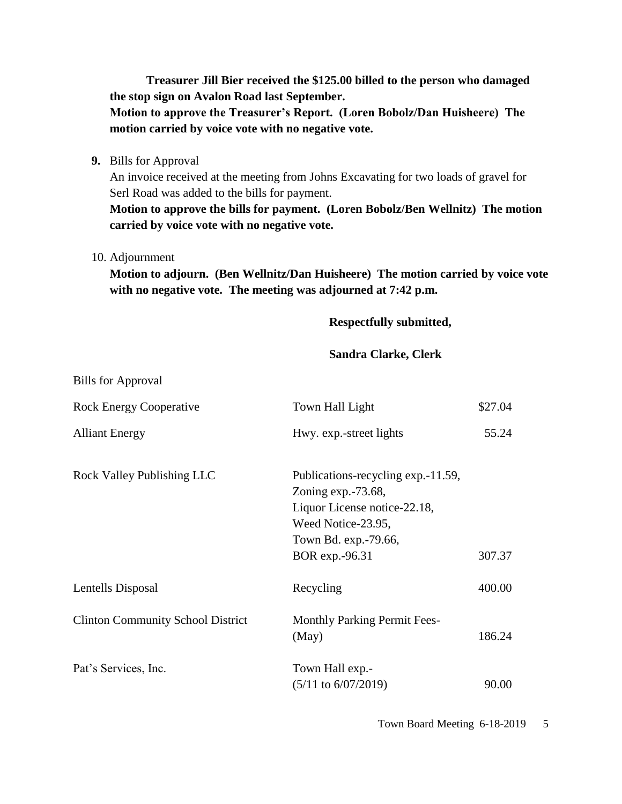**Treasurer Jill Bier received the \$125.00 billed to the person who damaged the stop sign on Avalon Road last September.**

**Motion to approve the Treasurer's Report. (Loren Bobolz/Dan Huisheere) The motion carried by voice vote with no negative vote.**

**9.** Bills for Approval

An invoice received at the meeting from Johns Excavating for two loads of gravel for Serl Road was added to the bills for payment.

**Motion to approve the bills for payment. (Loren Bobolz/Ben Wellnitz) The motion carried by voice vote with no negative vote.**

10. Adjournment

Bills for Approval

**Motion to adjourn. (Ben Wellnitz/Dan Huisheere) The motion carried by voice vote with no negative vote. The meeting was adjourned at 7:42 p.m.**

**Respectfully submitted,**

#### **Sandra Clarke, Clerk**

| <b>Rock Energy Cooperative</b>           | Town Hall Light                                                                                                                                               | \$27.04 |
|------------------------------------------|---------------------------------------------------------------------------------------------------------------------------------------------------------------|---------|
| <b>Alliant Energy</b>                    | Hwy. exp.-street lights                                                                                                                                       | 55.24   |
| Rock Valley Publishing LLC               | Publications-recycling exp. -11.59,<br>Zoning $exp. -73.68$ ,<br>Liquor License notice-22.18,<br>Weed Notice-23.95,<br>Town Bd. exp.-79.66,<br>BOR exp.-96.31 | 307.37  |
| Lentells Disposal                        | Recycling                                                                                                                                                     | 400.00  |
| <b>Clinton Community School District</b> | <b>Monthly Parking Permit Fees-</b><br>(May)                                                                                                                  | 186.24  |
| Pat's Services, Inc.                     | Town Hall exp.-<br>$(5/11$ to $6/07/2019)$                                                                                                                    | 90.00   |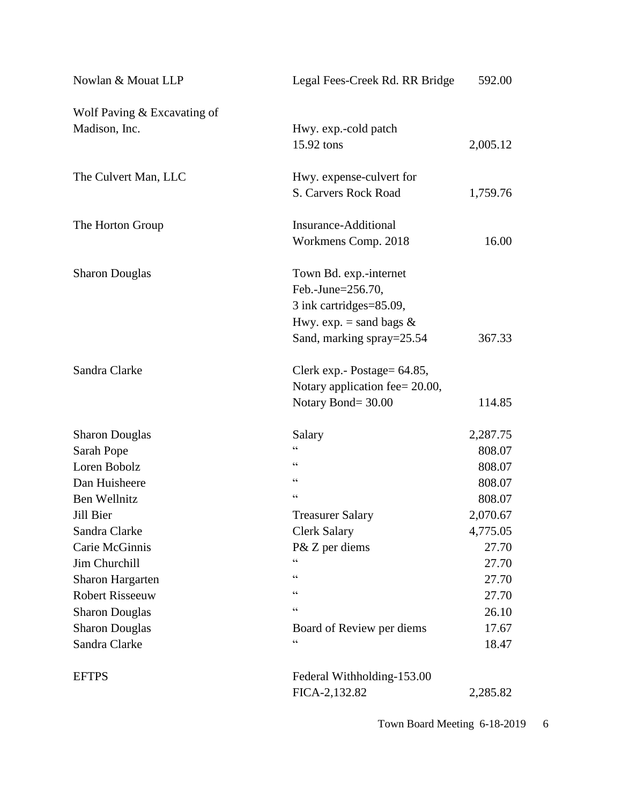| Nowlan & Mouat LLP          | Legal Fees-Creek Rd. RR Bridge                   | 592.00   |
|-----------------------------|--------------------------------------------------|----------|
| Wolf Paving & Excavating of |                                                  |          |
| Madison, Inc.               | Hwy. exp.-cold patch                             |          |
|                             | 15.92 tons                                       | 2,005.12 |
|                             |                                                  |          |
| The Culvert Man, LLC        | Hwy. expense-culvert for<br>S. Carvers Rock Road | 1,759.76 |
|                             |                                                  |          |
| The Horton Group            | Insurance-Additional                             |          |
|                             | Workmens Comp. 2018                              | 16.00    |
| <b>Sharon Douglas</b>       | Town Bd. exp.-internet                           |          |
|                             | Feb.-June=256.70,                                |          |
|                             | 3 ink cartridges=85.09,                          |          |
|                             | Hwy. exp. = sand bags $&$                        |          |
|                             | Sand, marking spray=25.54                        | 367.33   |
| Sandra Clarke               | Clerk exp. - Postage = 64.85,                    |          |
|                             | Notary application fee= 20.00,                   |          |
|                             | Notary Bond=30.00                                | 114.85   |
| <b>Sharon Douglas</b>       | Salary                                           | 2,287.75 |
| Sarah Pope                  | $\epsilon$                                       | 808.07   |
| Loren Bobolz                | $\zeta$ $\zeta$                                  | 808.07   |
| Dan Huisheere               | $\zeta \, \zeta$                                 | 808.07   |
| Ben Wellnitz                | $\zeta$ $\zeta$                                  | 808.07   |
| Jill Bier                   | <b>Treasurer Salary</b>                          | 2,070.67 |
| Sandra Clarke               | <b>Clerk Salary</b>                              | 4,775.05 |
| Carie McGinnis              | P& Z per diems                                   | 27.70    |
| Jim Churchill               |                                                  | 27.70    |
| <b>Sharon Hargarten</b>     | 66                                               | 27.70    |
| <b>Robert Risseeuw</b>      | 66                                               | 27.70    |
| <b>Sharon Douglas</b>       | $\zeta$ $\zeta$                                  | 26.10    |
| <b>Sharon Douglas</b>       | Board of Review per diems                        | 17.67    |
| Sandra Clarke               | 66                                               | 18.47    |
| <b>EFTPS</b>                | Federal Withholding-153.00                       |          |
|                             | FICA-2,132.82                                    | 2,285.82 |